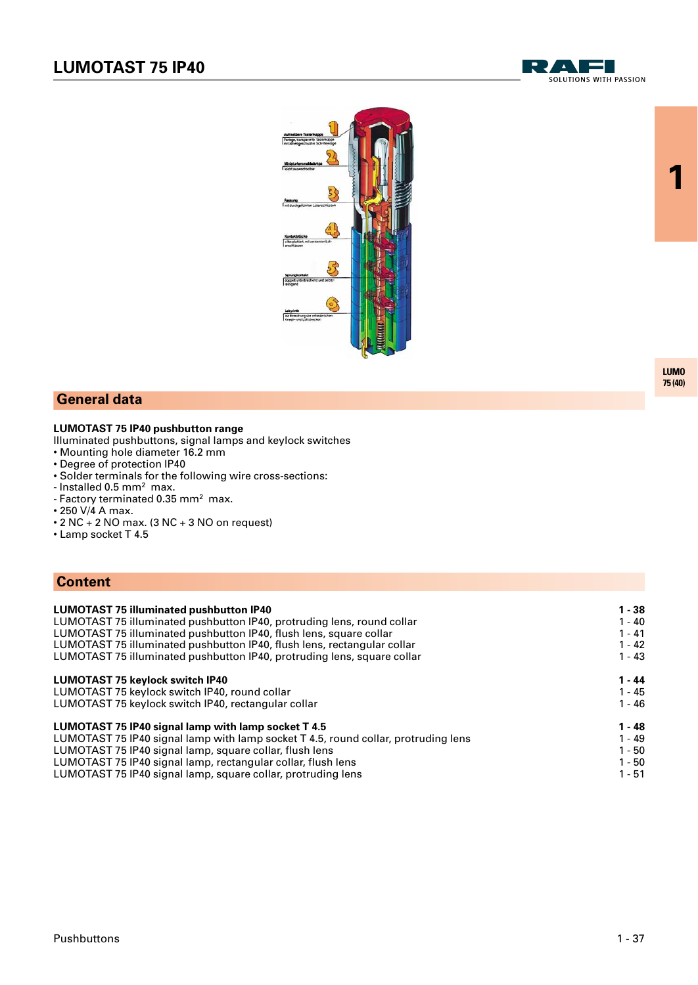



### **General data**

### **LUMOTAST 75 IP40 pushbutton range**

Illuminated pushbuttons, signal lamps and keylock switches

- Mounting hole diameter 16.2 mm
- Degree of protection IP40
- Solder terminals for the following wire cross-sections:
- Installed 0.5 mm<sup>2</sup> max.
- Factory terminated 0.35 mm<sup>2</sup> max.
- 250 V/4 A max.
- $\cdot$  2 NC  $+$  2 NO max. (3 NC  $+$  3 NO on request)
- Lamp socket T 4.5

### **Content**

| <b>LUMOTAST 75 illuminated pushbutton IP40</b>                                     | $1 - 38$ |
|------------------------------------------------------------------------------------|----------|
| LUMOTAST 75 illuminated pushbutton IP40, protruding lens, round collar             | $1 - 40$ |
| LUMOTAST 75 illuminated pushbutton IP40, flush lens, square collar                 | $1 - 41$ |
| LUMOTAST 75 illuminated pushbutton IP40, flush lens, rectangular collar            | $1 - 42$ |
| LUMOTAST 75 illuminated pushbutton IP40, protruding lens, square collar            | $1 - 43$ |
| <b>LUMOTAST 75 keylock switch IP40</b>                                             | $1 - 44$ |
| LUMOTAST 75 keylock switch IP40, round collar                                      | $1 - 45$ |
| LUMOTAST 75 keylock switch IP40, rectangular collar                                | $1 - 46$ |
| LUMOTAST 75 IP40 signal lamp with lamp socket T 4.5                                | $1 - 48$ |
| LUMOTAST 75 IP40 signal lamp with lamp socket T 4.5, round collar, protruding lens | $1 - 49$ |
| LUMOTAST 75 IP40 signal lamp, square collar, flush lens                            | $1 - 50$ |
| LUMOTAST 75 IP40 signal lamp, rectangular collar, flush lens                       | $1 - 50$ |
| LUMOTAST 75 IP40 signal lamp, square collar, protruding lens                       | $1 - 51$ |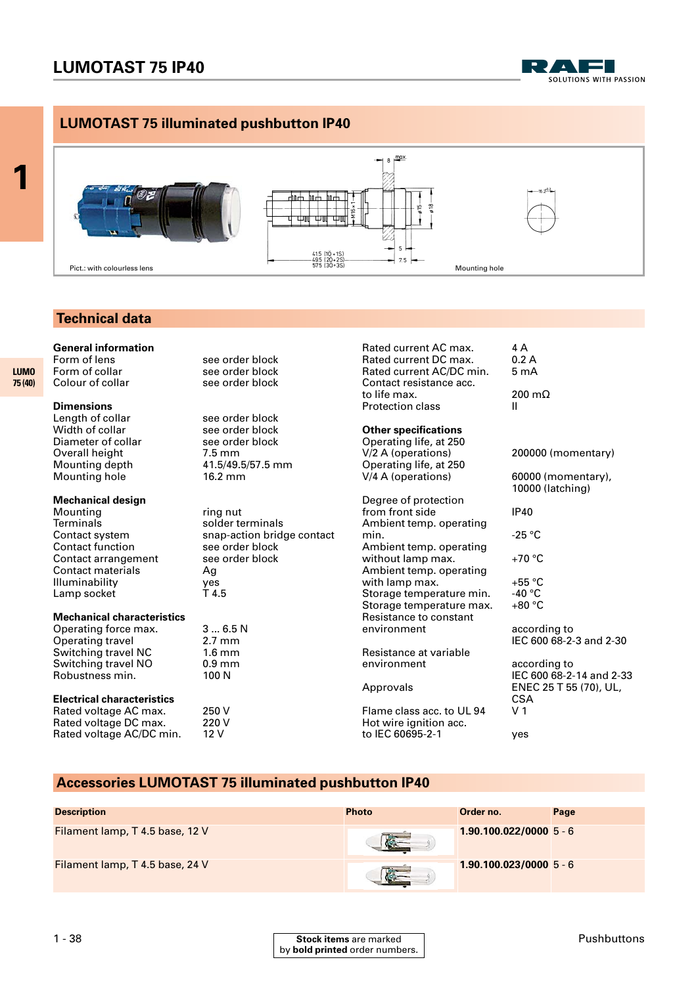

### **LUMOTAST 75 illuminated pushbutton IP40**



### **Technical data**

**General information**<br>Form of lens

Form of lens<br>
Form of collar
Form of collar
Form of collar
see order block Colour of collar

### **Dimensions**

**1**

**LUMO 75 (40)** 

> Length of collar see order block<br>
> Width of collar see order block Diameter of collar Overall height 7.5 mm<br>Mounting depth 41.5/49. Mounting hole

### **Mechanical design**

Mounting ring nut Terminals solder terminals<br>Contact system snap-action brid Contact function see order block Contact arrangement see order block Contact materials Ag Illuminability yes Lamp socket T4.5

#### **Mechanical characteristics**

Operating force max. <br>
2.7 mm<br>
2.7 mm Operating travel Switching travel NC 1.6 mm Switching travel NO 0.9 min<br>Robustness min. 100 N Robustness min.

#### **Electrical characteristics**

Rated voltage AC max. 250 V<br>Rated voltage DC max. 220 V Rated voltage DC max. Rated voltage AC/DC min. 12 V

see order block<br>see order block

see order block<br>see order block 41.5/49.5/57.5 mm<br>16.2 mm

snap-action bridge contact

Rated current AC max. 4 A<br>Rated current DC max. 0.2 A Rated current DC max. 0.2 A<br>Rated current AC/DC min. 5 mA Rated current AC/DC min. Contact resistance acc. to life max. 200 m $\Omega$ Protection class II **Other specifications**

# Operating life, at 250<br>V/2 A (operations) Operating life, at 250<br>V/4 A (operations)

Degree of protection from front side IP40 Ambient temp. operating Ambient temp. operating without lamp max.  $+70 °C$ Ambient temp. operating with lamp max.  $+55 \text{ °C}$ Storage temperature min. -40 °C<br>Storage temperature max. +80 °C Storage temperature max. Resistance to constant environment according to

Resistance at variable

Flame class acc. to UL 94 V 1 Hot wire ignition acc. to IEC 60695-2-1 yes

200000 (momentary)

#### 60000 (momentary). 10000 (latching)

 $-25 °C$ 

IEC 600 68-2-3 and 2-30

according to IEC 600 68-2-14 and 2-33 Approvals ENEC 25 T 55 (70), UL, **CSA** 

### **Accessories LUMOTAST 75 illuminated pushbutton IP40**

| <b>Description</b>              | <b>Photo</b> | Order no.                | Page |
|---------------------------------|--------------|--------------------------|------|
| Filament lamp, T 4.5 base, 12 V |              | $1.90.100.022/00005 - 6$ |      |
| Filament lamp, T 4.5 base, 24 V |              | $1.90.100.023/00005 - 6$ |      |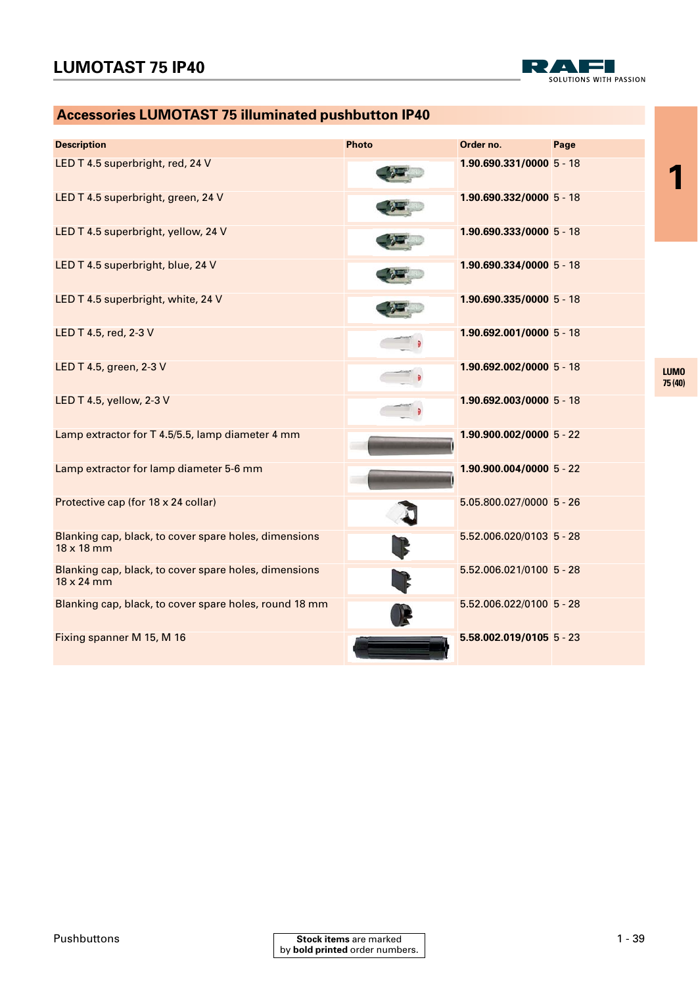

# **Accessories LUMOTAST 75 illuminated pushbutton IP40**

| <b>Description</b>                                                         | <b>Photo</b> | Order no.                  | Page |                        |
|----------------------------------------------------------------------------|--------------|----------------------------|------|------------------------|
| LED T 4.5 superbright, red, 24 V                                           |              | 1.90.690.331/0000 5 - 18   |      |                        |
| LED T 4.5 superbright, green, 24 V                                         |              | 1.90.690.332/0000 5 - 18   |      |                        |
| LED T 4.5 superbright, yellow, 24 V                                        |              | 1.90.690.333/0000 5 - 18   |      |                        |
| LED T 4.5 superbright, blue, 24 V                                          |              | $1.90.690.334/00005 - 18$  |      |                        |
| LED T 4.5 superbright, white, 24 V                                         |              | 1.90.690.335/0000 5 - 18   |      |                        |
| LED T 4.5, red, 2-3 V                                                      |              | $1.90.692.001/00005 - 18$  |      |                        |
| LED T 4.5, green, 2-3 V                                                    |              | 1.90.692.002/0000 5 - 18   |      | <b>LUMO</b><br>75 (40) |
| LED T 4.5, yellow, 2-3 V                                                   |              | 1.90.692.003/0000 5 - 18   |      |                        |
| Lamp extractor for T 4.5/5.5, lamp diameter 4 mm                           |              | $1.90.900.002/00005 - 22$  |      |                        |
| Lamp extractor for lamp diameter 5-6 mm                                    |              | $1.90.900.004/00005 - 22$  |      |                        |
| Protective cap (for 18 x 24 collar)                                        |              | 5.05.800.027/0000 5 - 26   |      |                        |
| Blanking cap, black, to cover spare holes, dimensions<br>$18 \times 18$ mm |              | $5.52.006.020/0103$ 5 - 28 |      |                        |
| Blanking cap, black, to cover spare holes, dimensions<br>$18 \times 24$ mm |              | 5.52.006.021/0100 5 - 28   |      |                        |
| Blanking cap, black, to cover spare holes, round 18 mm                     |              | 5.52.006.022/0100 5 - 28   |      |                        |
| Fixing spanner M 15, M 16                                                  |              | $5.58.002.019/0105$ 5 - 23 |      |                        |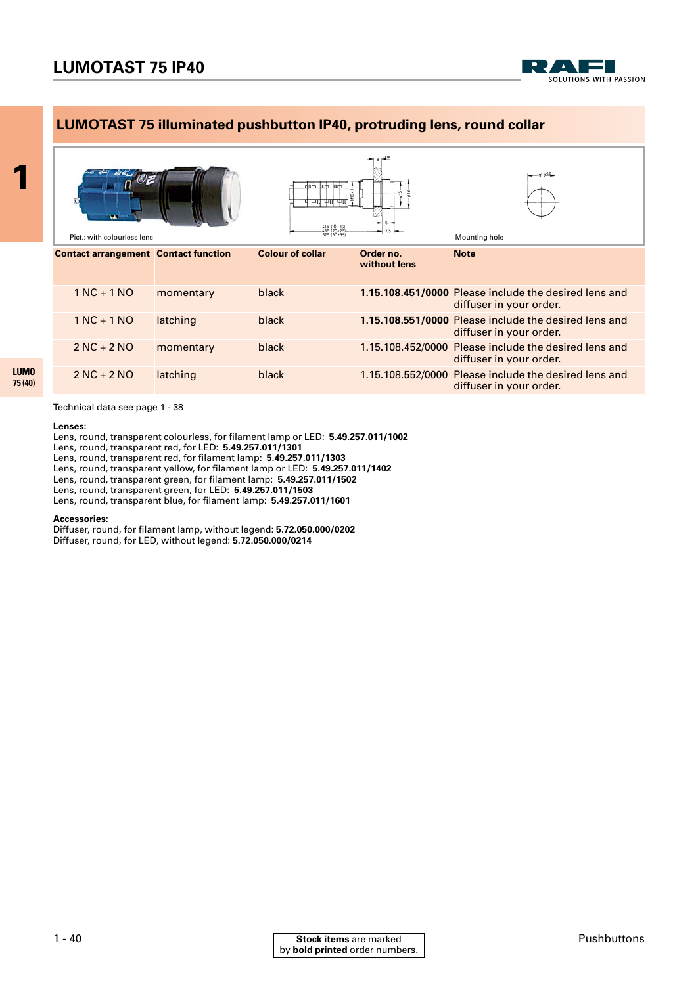

### **LUMOTAST 75 illuminated pushbutton IP40, protruding lens, round collar**



Technical data see page 1 - 38

#### **Lenses:**

Lens, round, transparent colourless, for filament lamp or LED: **5.49.257.011/1002**

Lens, round, transparent red, for LED: **5.49.257.011/1301**

Lens, round, transparent red, for filament lamp: **5.49.257.011/1303**

Lens, round, transparent yellow, for filament lamp or LED: **5.49.257.011/1402**

Lens, round, transparent green, for filament lamp: **5.49.257.011/1502**

Lens, round, transparent green, for LED: **5.49.257.011/1503**

Lens, round, transparent blue, for filament lamp: **5.49.257.011/1601**

#### **Accessories:**

Diffuser, round, for filament lamp, without legend: **5.72.050.000/0202** Diffuser, round, for LED, without legend: **5.72.050.000/0214**

**1**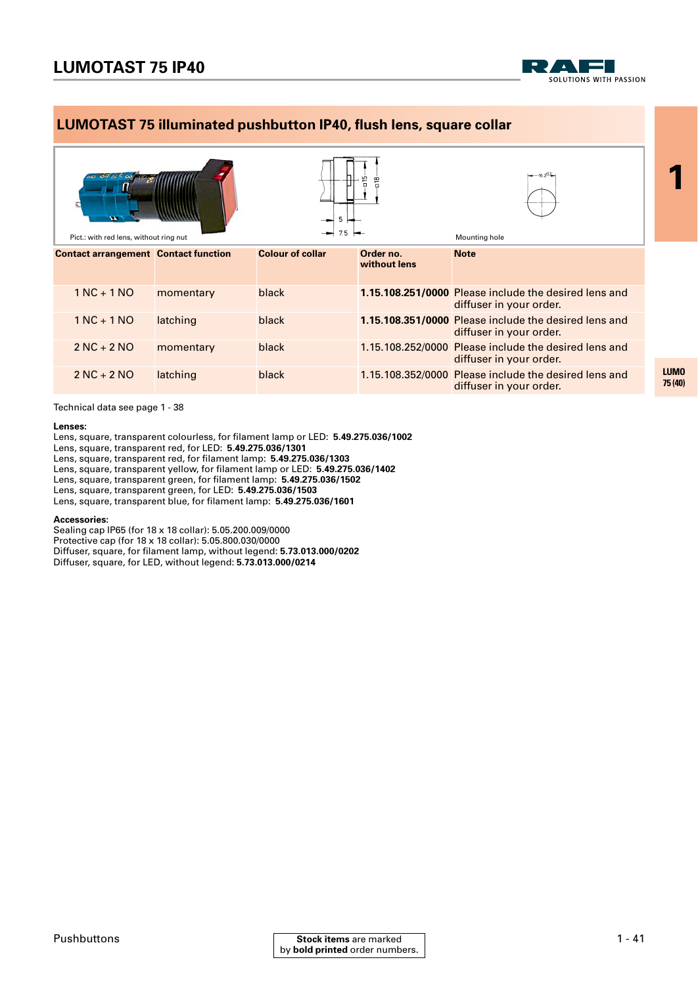

### **LUMOTAST 75 illuminated pushbutton IP40, flush lens, square collar**



Technical data see page 1 - 38

#### **Lenses:**

Lens, square, transparent colourless, for filament lamp or LED: **5.49.275.036/1002**

Lens, square, transparent red, for LED: **5.49.275.036/1301**

Lens, square, transparent red, for filament lamp: **5.49.275.036/1303**

Lens, square, transparent yellow, for filament lamp or LED: **5.49.275.036/1402** Lens, square, transparent green, for filament lamp: **5.49.275.036/1502**

Lens, square, transparent green, for LED: **5.49.275.036/1503**

Lens, square, transparent blue, for filament lamp: **5.49.275.036/1601**

#### **Accessories:**

Sealing cap IP65 (for 18 x 18 collar): 5.05.200.009/0000 Protective cap (for 18 x 18 collar): 5.05.800.030/0000 Diffuser, square, for filament lamp, without legend: **5.73.013.000/0202** Diffuser, square, for LED, without legend: **5.73.013.000/0214**

**LUMO 75 (40)**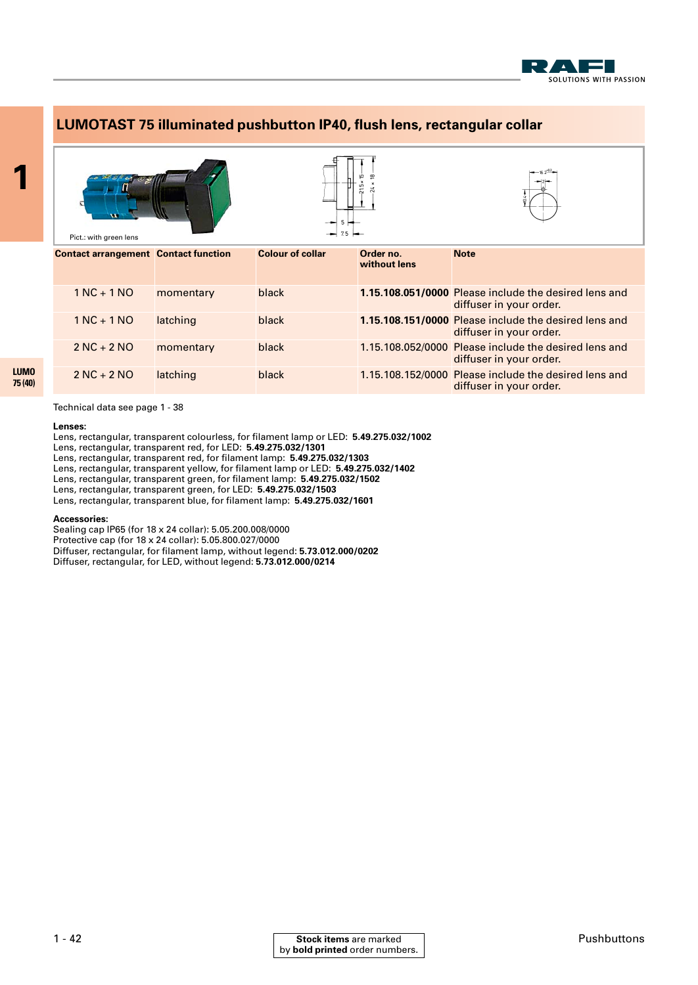



Technical data see page 1 - 38

#### **Lenses:**

Lens, rectangular, transparent colourless, for filament lamp or LED: **5.49.275.032/1002**

Lens, rectangular, transparent red, for LED: **5.49.275.032/1301**

Lens, rectangular, transparent red, for filament lamp: **5.49.275.032/1303**

Lens, rectangular, transparent yellow, for filament lamp or LED: **5.49.275.032/1402**

Lens, rectangular, transparent green, for filament lamp: **5.49.275.032/1502**

Lens, rectangular, transparent green, for LED: **5.49.275.032/1503**

Lens, rectangular, transparent blue, for filament lamp: **5.49.275.032/1601**

#### **Accessories:**

Sealing cap IP65 (for 18 x 24 collar): 5.05.200.008/0000 Protective cap (for 18 x 24 collar): 5.05.800.027/0000 Diffuser, rectangular, for filament lamp, without legend: **5.73.012.000/0202** Diffuser, rectangular, for LED, without legend: **5.73.012.000/0214**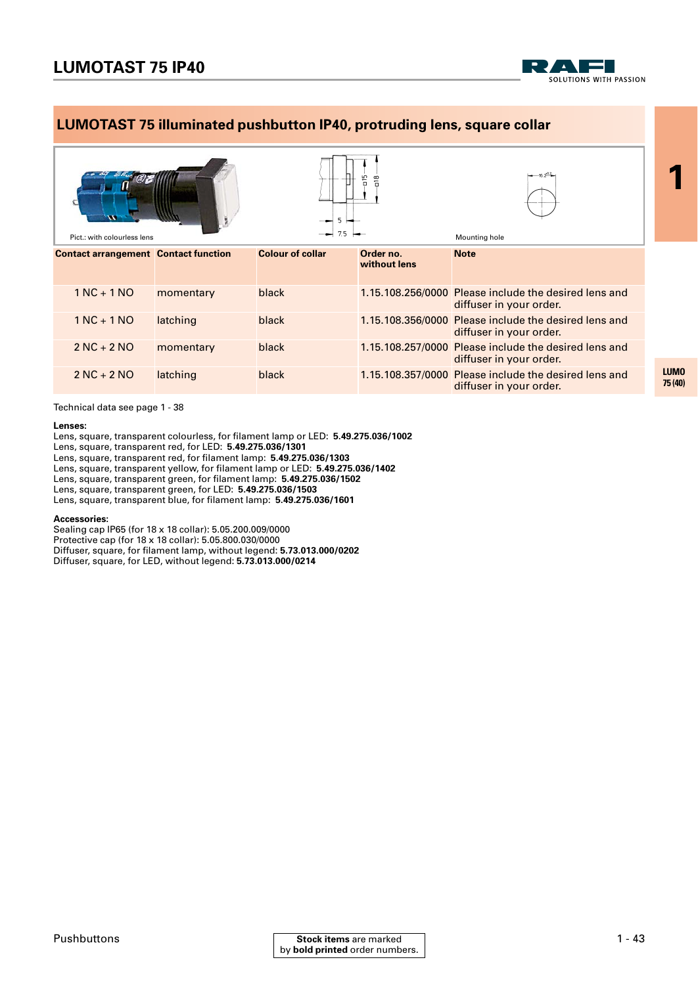

### **LUMOTAST 75 illuminated pushbutton IP40, protruding lens, square collar**



Technical data see page 1 - 38

#### **Lenses:**

Lens, square, transparent colourless, for filament lamp or LED: **5.49.275.036/1002**

Lens, square, transparent red, for LED: **5.49.275.036/1301**

Lens, square, transparent red, for filament lamp: **5.49.275.036/1303**

Lens, square, transparent yellow, for filament lamp or LED: **5.49.275.036/1402**

Lens, square, transparent green, for filament lamp: **5.49.275.036/1502**

Lens, square, transparent green, for LED: **5.49.275.036/1503**

Lens, square, transparent blue, for filament lamp: **5.49.275.036/1601**

#### **Accessories:**

Sealing cap IP65 (for 18 x 18 collar): 5.05.200.009/0000 Protective cap (for 18 x 18 collar): 5.05.800.030/0000 Diffuser, square, for filament lamp, without legend: **5.73.013.000/0202** Diffuser, square, for LED, without legend: **5.73.013.000/0214**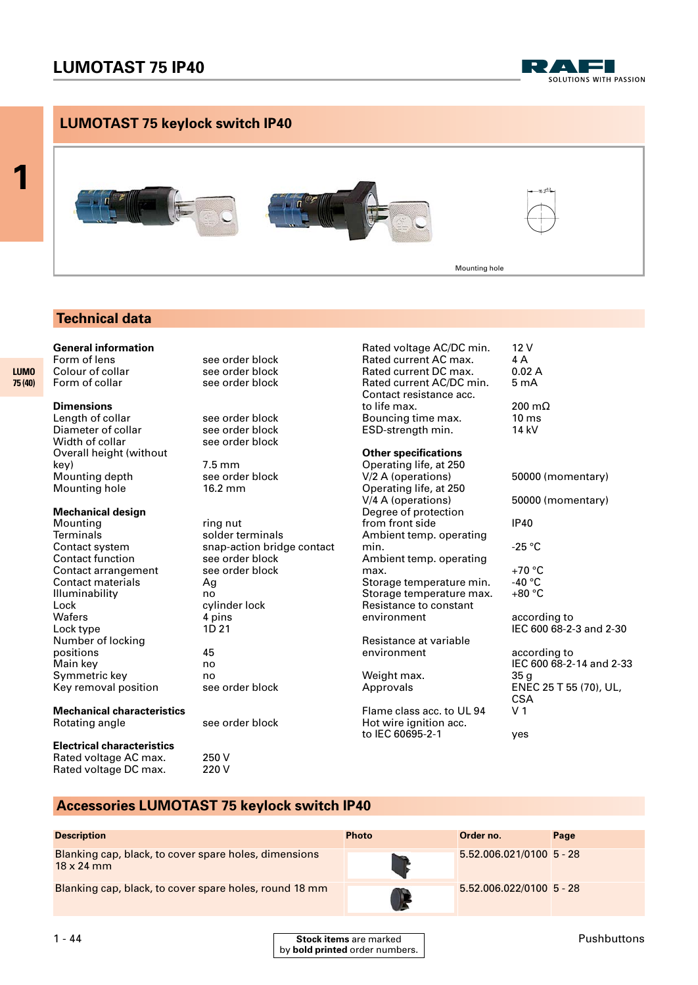## **LUMOTAST 75 IP40**







### **Technical data**

**General information**

Form of collar

### **Dimensions**

**1**

**LUMO 75 (40)** 

> Length of collar see order block<br>Diameter of collar see order block Diameter of collar see order block<br>Width of collar see order block Width of collar Overall height (without key)  $\begin{array}{ccc} 7.5 \text{ mm} \\ \text{Meumann} \\ \text{Meunting depth} \end{array}$ Mounting depth Mounting hole 16.2 mm

#### **Mechanical design**

Mounting ring nut<br>Terminals ring solder to Contact function see order block Contact arrangement see order block<br>
Contact materials
Solandage Contact materials Contact materials Illuminability no Lock cylinder lock<br>
Wafers
1990 Mater Material Apins Wafers Lock type 1D 21 Number of locking positions 45 Main key no Symmetric key<br>Key removal position see order block  $Key$  removal position

# **Mechanical characteristics**

**Electrical characteristics** Rated voltage AC max. 250 V<br>Rated voltage DC max. 220 V Rated voltage DC max.

Form of lens<br>
Colour of collar
Colour of collar
See order block see order block<br>see order block

solder terminals Contact system snap-action bridge contact

see order block

Rated voltage AC/DC min. 12 V<br>Rated current AC max. 4 A Rated current AC max. 4 A<br>Rated current DC max. 0.02 A Rated current DC max. Rated current AC/DC min. 5 mA Contact resistance acc. to life max. 200 m $\Omega$ Bouncing time max. 10 ms<br>ESD-strength min. 14 kV ESD-strength min.

#### **Other specifications**

Operating life, at 250<br>V/2 A (operations) Operating life, at 250<br>V/4 A (operations) Degree of protection from front side IP40 Ambient temp. operating min.  $\overline{C}$  -25 °C Ambient temp. operating max. +70 °C<br>Storage temperature min. +40 °C Storage temperature min. Storage temperature max. +80 °C Resistance to constant<br>environment

Resistance at variable environment according to

Weight max.<br>Approvals

Flame class acc. to UL 94 V 1 Hot wire ignition acc. to IEC 60695-2-1 yes

50000 (momentary) according to IEC 600 68-2-3 and 2-30

50000 (momentary)

IEC 600 68-2-14 and 2-33 35 g<br>ENEC 25 T 55 (70), UL, **CSA** 

### **Accessories LUMOTAST 75 keylock switch IP40**

| <b>Description</b>                                                         | <b>Photo</b> | Order no.                  | Page |
|----------------------------------------------------------------------------|--------------|----------------------------|------|
| Blanking cap, black, to cover spare holes, dimensions<br>$18 \times 24$ mm |              | $5.52.006.021/0100$ 5 - 28 |      |
| Blanking cap, black, to cover spare holes, round 18 mm                     |              | $5.52.006.022/0100$ 5 - 28 |      |

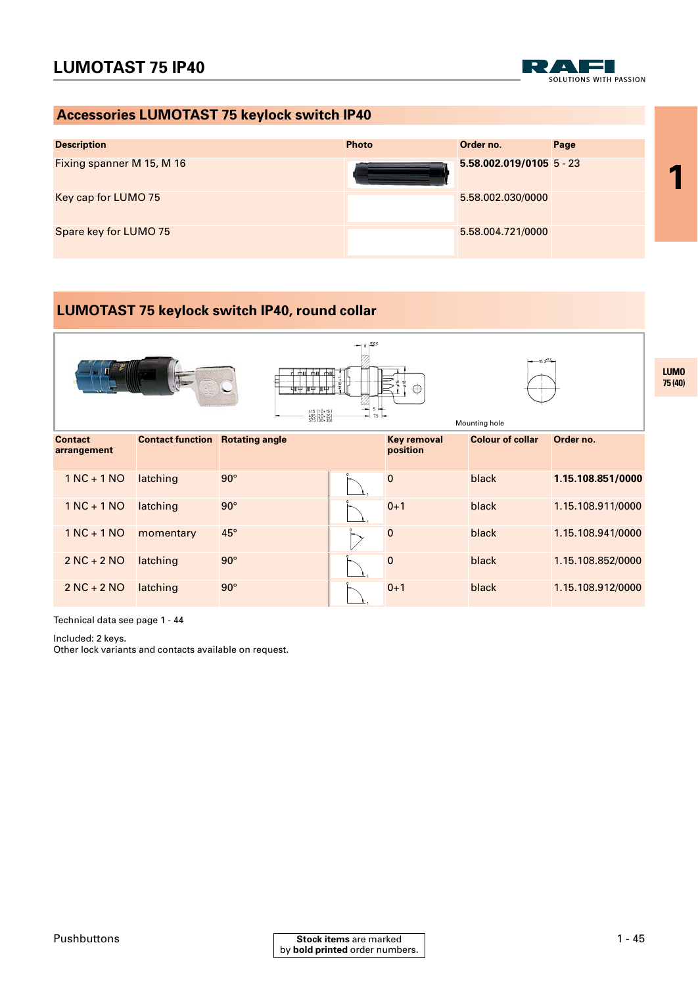SOLUTIONS WITH PASSION

### **Accessories LUMOTAST 75 keylock switch IP40**



### **LUMOTAST 75 keylock switch IP40, round collar**



Technical data see page 1 - 44

Included: 2 keys.

Other lock variants and contacts available on request.